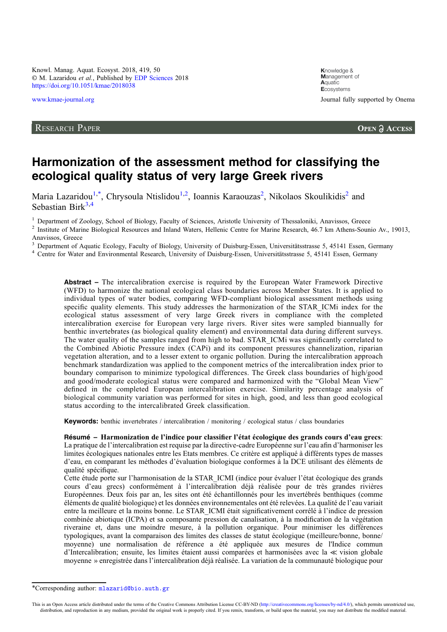Knowl. Manag. Aquat. Ecosyst. 2018, 419, 50 © M. Lazaridou et al., Published by [EDP Sciences](https://www.edpsciences.org) 2018 <https://doi.org/10.1051/kmae/2018038>

# RESEARCH PAPER

**K**nowledge & **M**anagement of **A**quatic **E**cosystems [www.kmae-journal.org](https://www.kmae-journal.org) Journal fully supported by Onema

# Harmonization of the assessment method for classifying the ecological quality status of very large Greek rivers

Maria Lazaridou<sup>1,\*</sup>, Chrysoula Ntislidou<sup>1,2</sup>, Ioannis Karaouzas<sup>2</sup>, Nikolaos Skoulikidis<sup>2</sup> and Sebastian Birk $3,4$ 

<sup>1</sup> Department of Zoology, School of Biology, Faculty of Sciences, Aristotle University of Thessaloniki, Anavissos, Greece<br><sup>2</sup> Institute of Marine Biological Resources and Inland Waters, Hellenic Centre for Marine Researc Anavissos, Greece

<sup>3</sup> Department of Aquatic Ecology, Faculty of Biology, University of Duisburg-Essen, Universitätsstrasse 5, 45141 Essen, Germany <sup>4</sup> Centre for Water and Environmental Research, University of Duisburg-Essen, Universitätsst

Abstract – The intercalibration exercise is required by the European Water Framework Directive (WFD) to harmonize the national ecological class boundaries across Member States. It is applied to individual types of water bodies, comparing WFD-compliant biological assessment methods using specific quality elements. This study addresses the harmonization of the STAR\_ICMi index for the ecological status assessment of very large Greek rivers in compliance with the completed intercalibration exercise for European very large rivers. River sites were sampled biannually for benthic invertebrates (as biological quality element) and environmental data during different surveys. The water quality of the samples ranged from high to bad. STAR\_ICMi was significantly correlated to the Combined Abiotic Pressure index (CAPi) and its component pressures channelization, riparian vegetation alteration, and to a lesser extent to organic pollution. During the intercalibration approach benchmark standardization was applied to the component metrics of the intercalibration index prior to boundary comparison to minimize typological differences. The Greek class boundaries of high/good and good/moderate ecological status were compared and harmonized with the "Global Mean View" defined in the completed European intercalibration exercise. Similarity percentage analysis of biological community variation was performed for sites in high, good, and less than good ecological status according to the intercalibrated Greek classification.

Keywords: benthic invertebrates / intercalibration / monitoring / ecological status / class boundaries

Résumé – Harmonization de l'indice pour classifier l'état écologique des grands cours d'eau grecs: La pratique de l'intercalibration est requise par la directive-cadre Européenne sur l'eau afin d'harmoniser les limites écologiques nationales entre les Etats membres. Ce critère est appliqué à différents types de masses d'eau, en comparant les méthodes d'évaluation biologique conformes à la DCE utilisant des éléments de qualité spécifique.

Cette étude porte sur l'harmonisation de la STAR\_ICMI (indice pour évaluer l'état écologique des grands cours d'eau grecs) conformément à l'intercalibration déjà réalisée pour de très grandes rivières Européennes. Deux fois par an, les sites ont été échantillonnés pour les invertébrés benthiques (comme éléments de qualité biologique) et les données environnementales ont été relevées. La qualité de l'eau variait entre la meilleure et la moins bonne. Le STAR\_ICMI était significativement corrélé à l'indice de pression combinée abiotique (ICPA) et sa composante pression de canalisation, à la modification de la végétation riveraine et, dans une moindre mesure, à la pollution organique. Pour minimiser les différences typologiques, avant la comparaison des limites des classes de statut écologique (meilleure/bonne, bonne/ moyenne) une normalisation de référence a été appliquée aux mesures de l'Indice commun d'Intercalibration; ensuite, les limites étaient aussi comparées et harmonisées avec la ≪ vision globale moyenne » enregistrée dans l'intercalibration déjà réalisée. La variation de la communauté biologique pour

<sup>\*</sup>Corresponding author: [mlazarid@bio.auth.gr](mailto:mlazarid@bio.auth.gr)

This is an Open Access article distributed under the terms of the Creative Commons Attribution License CC-BY-ND (<http://creativecommons.org/licenses/by-nd/4.0/>), which permits unrestricted use, distribution, and reproduction in any medium, provided the original work is properly cited. If you remix, transform, or build upon the material, you may not distribute the modified material.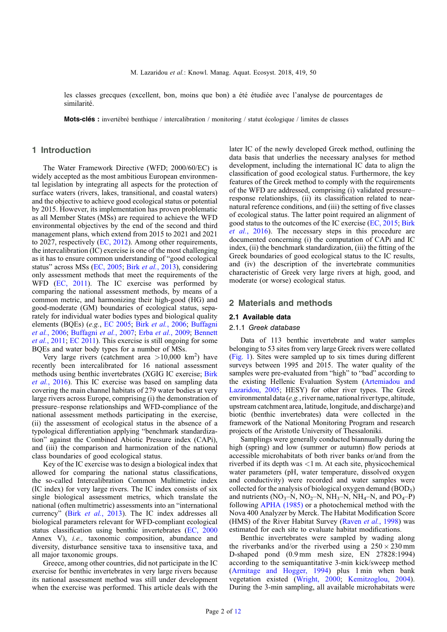les classes grecques (excellent, bon, moins que bon) a été étudiée avec l'analyse de pourcentages de similarité.

Mots-clés : invertébré benthique / intercalibration / monitoring / statut écologique / limites de classes

## 1 Introduction

The Water Framework Directive (WFD; 2000/60/EC) is widely accepted as the most ambitious European environmental legislation by integrating all aspects for the protection of surface waters (rivers, lakes, transitional, and coastal waters) and the objective to achieve good ecological status or potential by 2015. However, its implementation has proven problematic as all Member States (MSs) are required to achieve the WFD environmental objectives by the end of the second and third management plans, which extend from 2015 to 2021 and 2021 to 2027, respectively ([EC, 2012\)](#page-11-0). Among other requirements, the intercalibration (IC) exercise is one of the most challenging as it has to ensure common understanding of "good ecological status" across MSs ([EC, 2005;](#page-11-0) Birk et al.[, 2013\)](#page-10-0), considering only assessment methods that meet the requirements of the WFD ([EC, 2011\)](#page-11-0). The IC exercise was performed by comparing the national assessment methods, by means of a common metric, and harmonizing their high-good (HG) and good-moderate (GM) boundaries of ecological status, separately for individual water bodies types and biological quality elements (BQEs) (e.g., [EC 2005;](#page-11-0) Birk et al.[, 2006](#page-10-0); [Buffagni](#page-10-0) et al.[, 2006;](#page-10-0) [Buffagni](#page-10-0) et al., 2007; Erba et al.[, 2009;](#page-11-0) [Bennett](#page-10-0) et al.[, 2011](#page-10-0); [EC 2011\)](#page-11-0). This exercise is still ongoing for some BQEs and water body types for a number of MSs.

Very large rivers (catchment area  $>10,000$  km<sup>2</sup>) have recently been intercalibrated for 16 national assessment methods using benthic invertebrates (XGIG IC exercise; [Birk](#page-10-0) et al.[, 2016](#page-10-0)). This IC exercise was based on sampling data covering the main channel habitats of 279 water bodies at very large rivers across Europe, comprising (i) the demonstration of pressure–response relationships and WFD-compliance of the national assessment methods participating in the exercise, (ii) the assessment of ecological status in the absence of a typological differentiation applying "benchmark standardization" against the Combined Abiotic Pressure index (CAPi), and (iii) the comparison and harmonization of the national class boundaries of good ecological status.

Key of the IC exercise was to design a biological index that allowed for comparing the national status classifications, the so-called Intercalibration Common Multimetric index (IC index) for very large rivers. The IC index consists of six single biological assessment metrics, which translate the national (often multimetric) assessments into an "international currency" (Birk et al.[, 2013\)](#page-10-0). The IC index addresses all biological parameters relevant for WFD-compliant ecological status classification using benthic invertebrates [\(EC, 2000](#page-11-0) Annex V), i.e., taxonomic composition, abundance and diversity, disturbance sensitive taxa to insensitive taxa, and all major taxonomic groups.

Greece, among other countries, did not participate in the IC exercise for benthic invertebrates in very large rivers because its national assessment method was still under development when the exercise was performed. This article deals with the later IC of the newly developed Greek method, outlining the data basis that underlies the necessary analyses for method development, including the international IC data to align the classification of good ecological status. Furthermore, the key features of the Greek method to comply with the requirements of the WFD are addressed, comprising (i) validated pressure– response relationships, (ii) its classification related to nearnatural reference conditions, and (iii) the setting of five classes of ecological status. The latter point required an alignment of good status to the outcomes of the IC exercise ([EC, 2015](#page-11-0); [Birk](#page-10-0) et al.[, 2016](#page-10-0)). The necessary steps in this procedure are documented concerning (i) the computation of CAPi and IC index, (ii) the benchmark standardization, (iii) the fitting of the Greek boundaries of good ecological status to the IC results, and (iv) the description of the invertebrate communities characteristic of Greek very large rivers at high, good, and moderate (or worse) ecological status.

## 2 Materials and methods

#### 2.1 Available data

# 2.1.1 Greek database

Data of 113 benthic invertebrate and water samples belonging to 53 sites from very large Greek rivers were collated ([Fig. 1\)](#page-2-0). Sites were sampled up to six times during different surveys between 1995 and 2015. The water quality of the samples were pre-evaluated from "high" to "bad" according to the existing Hellenic Evaluation System ([Artemiadou and](#page-10-0) [Lazaridou, 2005;](#page-10-0) HESY) for other river types. The Greek environmental data (e.g., river name, national river type, altitude, upstream catchment area, latitude, longitude, and discharge) and biotic (benthic invertebrates) data were collected in the framework of the National Monitoring Program and research projects of the Aristotle University of Thessaloniki.

Samplings were generally conducted biannually during the high (spring) and low (summer or autumn) flow periods at accessible microhabitats of both river banks or/and from the riverbed if its depth was <1 m. At each site, physicochemical water parameters (pH, water temperature, dissolved oxygen and conductivity) were recorded and water samples were collected for the analysis of biological oxygen demand  $(BOD<sub>5</sub>)$ and nutrients ( $NO_3-N$ ,  $NO_2-N$ ,  $NH_3-N$ ,  $NH_4-N$ , and  $PO_4-P$ ) following [APHA \(1985\)](#page-10-0) or a photochemical method with the Nova 400 Analyzer by Merck. The Habitat Modification Score (HMS) of the River Habitat Survey (Raven et al.[, 1998\)](#page-11-0) was estimated for each site to evaluate habitat modifications.

Benthic invertebrates were sampled by wading along the riverbanks and/or the riverbed using a  $250 \times 230$  mm D-shaped pond (0.9 mm mesh size, EN 27828:1994) according to the semiquantitative 3-min kick/sweep method ([Armitage and Hogger, 1994\)](#page-10-0) plus 1 min when bank vegetation existed ([Wright, 2000](#page-11-0); [Kemitzoglou, 2004\)](#page-11-0). During the 3-min sampling, all available microhabitats were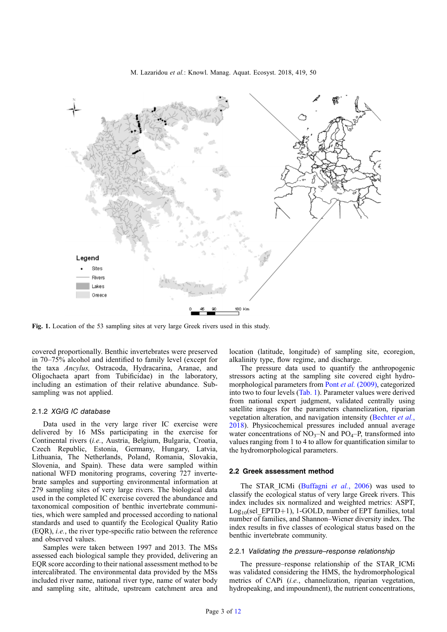<span id="page-2-0"></span>

Fig. 1. Location of the 53 sampling sites at very large Greek rivers used in this study.

covered proportionally. Benthic invertebrates were preserved in 70–75% alcohol and identified to family level (except for the taxa Ancylus, Ostracoda, Hydracarina, Aranae, and Oligochaeta apart from Tubificidae) in the laboratory, including an estimation of their relative abundance. Subsampling was not applied.

#### 2.1.2 XGIG IC database

Data used in the very large river IC exercise were delivered by 16 MSs participating in the exercise for Continental rivers (i.e., Austria, Belgium, Bulgaria, Croatia, Czech Republic, Estonia, Germany, Hungary, Latvia, Lithuania, The Netherlands, Poland, Romania, Slovakia, Slovenia, and Spain). These data were sampled within national WFD monitoring programs, covering 727 invertebrate samples and supporting environmental information at 279 sampling sites of very large rivers. The biological data used in the completed IC exercise covered the abundance and taxonomical composition of benthic invertebrate communities, which were sampled and processed according to national standards and used to quantify the Ecological Quality Ratio (EQR), i.e., the river type-specific ratio between the reference and observed values.

Samples were taken between 1997 and 2013. The MSs assessed each biological sample they provided, delivering an EQR score according to their national assessment method to be intercalibrated. The environmental data provided by the MSs included river name, national river type, name of water body and sampling site, altitude, upstream catchment area and

location (latitude, longitude) of sampling site, ecoregion, alkalinity type, flow regime, and discharge.

The pressure data used to quantify the anthropogenic stressors acting at the sampling site covered eight hydromorphological parameters from Pont et al. [\(2009\)](#page-11-0), categorized into two to four levels [\(Tab. 1\)](#page-3-0). Parameter values were derived from national expert judgment, validated centrally using satellite images for the parameters channelization, riparian vegetation alteration, and navigation intensity [\(Bechter](#page-10-0) et al., [2018](#page-10-0)). Physicochemical pressures included annual average water concentrations of  $\overline{NO_3-N}$  and  $\overline{PO_4-P}$ , transformed into values ranging from 1 to 4 to allow for quantification similar to the hydromorphological parameters.

#### 2.2 Greek assessment method

The STAR ICMi [\(Buffagni](#page-10-0) et al., 2006) was used to classify the ecological status of very large Greek rivers. This index includes six normalized and weighted metrics: ASPT,  $Log<sub>10</sub>(sel EPTD+1)$ , 1-GOLD, number of EPT families, total number of families, and Shannon–Wiener diversity index. The index results in five classes of ecological status based on the benthic invertebrate community.

#### 2.2.1 Validating the pressure–response relationship

The pressure–response relationship of the STAR\_ICMi was validated considering the HMS, the hydromorphological metrics of CAPi (i.e., channelization, riparian vegetation, hydropeaking, and impoundment), the nutrient concentrations,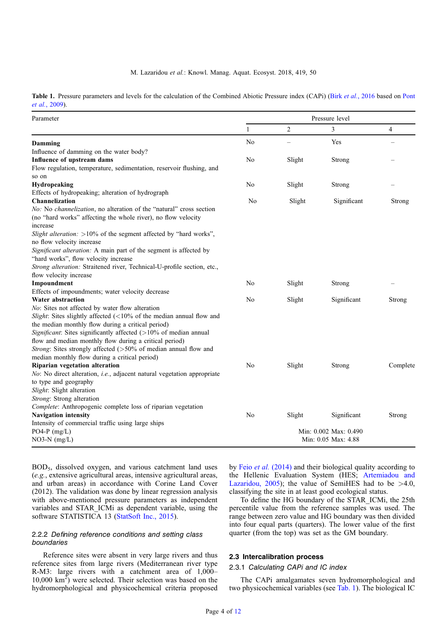<span id="page-3-0"></span>Table 1. Pressure parameters and levels for the calculation of the Combined Abiotic Pressure index (CAPi) (Birk et al.[, 2016](#page-10-0) based on [Pont](#page-11-0) et al.[, 2009](#page-11-0)).

| Parameter                                                                               | Pressure level      |                |                       |          |
|-----------------------------------------------------------------------------------------|---------------------|----------------|-----------------------|----------|
|                                                                                         | 1                   | $\overline{c}$ | 3                     | 4        |
| Damming                                                                                 | N <sub>o</sub>      |                | Yes                   |          |
| Influence of damming on the water body?                                                 |                     |                |                       |          |
| Influence of upstream dams                                                              | No                  | Slight         | Strong                |          |
| Flow regulation, temperature, sedimentation, reservoir flushing, and                    |                     |                |                       |          |
| so on                                                                                   |                     |                |                       |          |
| Hydropeaking                                                                            | N <sub>0</sub>      | Slight         | Strong                |          |
| Effects of hydropeaking; alteration of hydrograph                                       |                     |                |                       |          |
| <b>Channelization</b>                                                                   | No                  | Slight         | Significant           | Strong   |
| No: No channelization, no alteration of the "natural" cross section                     |                     |                |                       |          |
| (no "hard works" affecting the whole river), no flow velocity                           |                     |                |                       |          |
| increase                                                                                |                     |                |                       |          |
| Slight alteration: >10% of the segment affected by "hard works",                        |                     |                |                       |          |
| no flow velocity increase                                                               |                     |                |                       |          |
| Significant alteration: A main part of the segment is affected by                       |                     |                |                       |          |
| "hard works", flow velocity increase                                                    |                     |                |                       |          |
| Strong alteration: Straitened river, Technical-U-profile section, etc.,                 |                     |                |                       |          |
| flow velocity increase                                                                  |                     |                |                       |          |
| Impoundment                                                                             | No                  | Slight         | Strong                |          |
| Effects of impoundments; water velocity decrease                                        |                     |                |                       |          |
| Water abstraction                                                                       | No                  | Slight         | Significant           | Strong   |
| No: Sites not affected by water flow alteration                                         |                     |                |                       |          |
| Slight: Sites slightly affected $(<10\%$ of the median annual flow and                  |                     |                |                       |          |
| the median monthly flow during a critical period)                                       |                     |                |                       |          |
| Significant: Sites significantly affected (>10% of median annual                        |                     |                |                       |          |
| flow and median monthly flow during a critical period)                                  |                     |                |                       |          |
| Strong: Sites strongly affected (>50% of median annual flow and                         |                     |                |                       |          |
| median monthly flow during a critical period)                                           |                     |                |                       |          |
| Riparian vegetation alteration                                                          | No                  | Slight         | Strong                | Complete |
| <i>No</i> : No direct alteration, <i>i.e.</i> , adjacent natural vegetation appropriate |                     |                |                       |          |
| to type and geography                                                                   |                     |                |                       |          |
| Slight: Slight alteration                                                               |                     |                |                       |          |
| Strong: Strong alteration                                                               |                     |                |                       |          |
| Complete: Anthropogenic complete loss of riparian vegetation                            |                     |                |                       |          |
| <b>Navigation intensity</b>                                                             | No                  | Slight         | Significant           | Strong   |
| Intensity of commercial traffic using large ships                                       |                     |                |                       |          |
| PO4-P $(mg/L)$                                                                          |                     |                | Min: 0.002 Max: 0.490 |          |
| $NO3-N$ (mg/L)                                                                          | Min: 0.05 Max: 4.88 |                |                       |          |
|                                                                                         |                     |                |                       |          |

BOD5, dissolved oxygen, and various catchment land uses (e.g., extensive agricultural areas, intensive agricultural areas, and urban areas) in accordance with Corine Land Cover (2012). The validation was done by linear regression analysis with above-mentioned pressure parameters as independent variables and STAR\_ICMi as dependent variable, using the software STATISTICA 13 [\(StatSoft Inc., 2015\)](#page-11-0).

## 2.2.2 Defining reference conditions and setting class boundaries

Reference sites were absent in very large rivers and thus reference sites from large rivers (Mediterranean river type R-M3: large rivers with a catchment area of 1,000– 10,000  $\text{km}^2$ ) were selected. Their selection was based on the hydromorphological and physicochemical criteria proposed by Feio et al. [\(2014\)](#page-11-0) and their biological quality according to the Hellenic Evaluation System (HES; [Artemiadou and](#page-10-0) [Lazaridou, 2005\)](#page-10-0); the value of SemiHES had to be  $>4.0$ , classifying the site in at least good ecological status.

To define the HG boundary of the STAR\_ICMi, the 25th percentile value from the reference samples was used. The range between zero value and HG boundary was then divided into four equal parts (quarters). The lower value of the first quarter (from the top) was set as the GM boundary.

## 2.3 Intercalibration process

#### 2.3.1 Calculating CAPi and IC index

The CAPi amalgamates seven hydromorphological and two physicochemical variables (see Tab. 1). The biological IC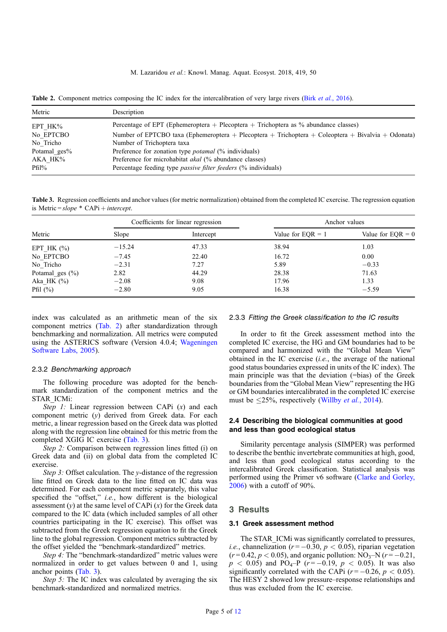Table 2. Component metrics composing the IC index for the intercalibration of very large rivers (Birk et al.[, 2016\)](#page-10-0).

| Metric       | Description                                                                                        |
|--------------|----------------------------------------------------------------------------------------------------|
| EPT HK%      | Percentage of EPT (Ephemeroptera + Plecoptera + Trichoptera as $\%$ abundance classes)             |
| No EPTCBO    | Number of EPTCBO taxa (Ephemeroptera + Plecoptera + Trichoptera + Coleoptera + Bivalvia + Odonata) |
| No Tricho    | Number of Trichoptera taxa                                                                         |
| Potamal ges% | Preference for zonation type <i>potamal</i> (% individuals)                                        |
| AKA HK%      | Preference for microhabitat <i>akal</i> (% abundance classes)                                      |
| $Pfil\%$     | Percentage feeding type <i>passive filter feeders</i> (% individuals)                              |

Table 3. Regression coefficients and anchor values (for metric normalization) obtained from the completed IC exercise. The regression equation is Metric =  $slope * CAPi + intercept$ .

|                     |          | Coefficients for linear regression | Anchor values       |                     |
|---------------------|----------|------------------------------------|---------------------|---------------------|
| Metric              | Slope    | Intercept                          | Value for $EOR = 1$ | Value for $EQR = 0$ |
| EPT HK $(\%)$       | $-15.24$ | 47.33                              | 38.94               | 1.03                |
| No EPTCBO           | $-7.45$  | 22.40                              | 16.72               | 0.00                |
| No Tricho           | $-2.31$  | 7.27                               | 5.89                | $-0.33$             |
| Potamal ges $(\% )$ | 2.82     | 44.29                              | 28.38               | 71.63               |
| Aka HK $(\%)$       | $-2.08$  | 9.08                               | 17.96               | 1.33                |
| Pfil $(\%)$         | $-2.80$  | 9.05                               | 16.38               | $-5.59$             |

index was calculated as an arithmetic mean of the six component metrics (Tab. 2) after standardization through benchmarking and normalization. All metrics were computed using the ASTERICS software (Version 4.0.4; [Wageningen](#page-11-0) [Software Labs, 2005\)](#page-11-0).

#### 2.3.2 Benchmarking approach

The following procedure was adopted for the benchmark standardization of the component metrics and the STAR\_ICMi:

Step 1: Linear regression between CAPi  $(x)$  and each component metric (y) derived from Greek data. For each metric, a linear regression based on the Greek data was plotted along with the regression line obtained for this metric from the completed XGIG IC exercise (Tab. 3).

Step 2: Comparison between regression lines fitted (i) on Greek data and (ii) on global data from the completed IC exercise.

Step 3: Offset calculation. The  $y$ -distance of the regression line fitted on Greek data to the line fitted on IC data was determined. For each component metric separately, this value specified the "offset," i.e., how different is the biological assessment  $(v)$  at the same level of CAPi  $(x)$  for the Greek data compared to the IC data (which included samples of all other countries participating in the IC exercise). This offset was subtracted from the Greek regression equation to fit the Greek line to the global regression. Component metrics subtracted by the offset yielded the "benchmark-standardized" metrics.

Step 4: The "benchmark-standardized" metric values were normalized in order to get values between 0 and 1, using anchor points (Tab. 3).

Step 5: The IC index was calculated by averaging the six benchmark-standardized and normalized metrics.

#### 2.3.3 Fitting the Greek classification to the IC results

In order to fit the Greek assessment method into the completed IC exercise, the HG and GM boundaries had to be compared and harmonized with the "Global Mean View" obtained in the IC exercise  $(i.e.,$  the average of the national good status boundaries expressed in units of the IC index). The main principle was that the deviation (=bias) of the Greek boundaries from the "Global Mean View" representing the HG or GM boundaries intercalibrated in the completed IC exercise must be  $\langle 25\%$ , respectively [\(Willby](#page-11-0) *et al.*, 2014).

## 2.4 Describing the biological communities at good and less than good ecological status

Similarity percentage analysis (SIMPER) was performed to describe the benthic invertebrate communities at high, good, and less than good ecological status according to the intercalibrated Greek classification. Statistical analysis was performed using the Primer v6 software ([Clarke and Gorley,](#page-11-0) [2006](#page-11-0)) with a cutoff of 90%.

#### 3 Results

#### 3.1 Greek assessment method

The STAR ICMi was significantly correlated to pressures, *i.e.*, channelization ( $r = -0.30$ ,  $p < 0.05$ ), riparian vegetation  $(r=0.42, p < 0.05)$ , and organic pollution: NO<sub>3</sub>-N  $(r=-0.21,$  $p < 0.05$ ) and PO<sub>4</sub>–P ( $r = -0.19$ ,  $p < 0.05$ ). It was also significantly correlated with the CAPi ( $r = -0.26$ ,  $p < 0.05$ ). The HESY 2 showed low pressure–response relationships and thus was excluded from the IC exercise.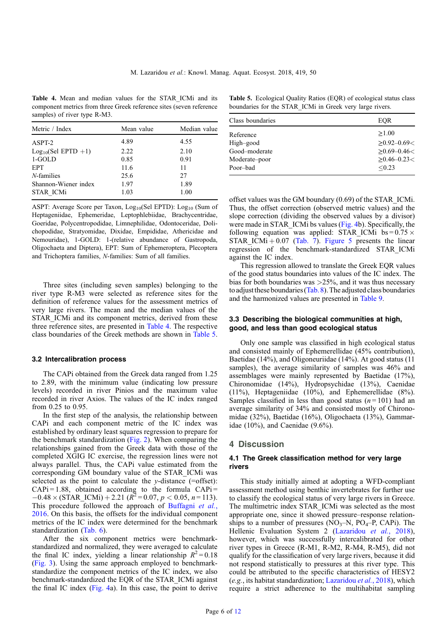Table 4. Mean and median values for the STAR ICMi and its component metrics from three Greek reference sites (seven reference samples) of river type R-M3.

| Metric / Index       | Mean value | Median value |
|----------------------|------------|--------------|
| ASPT-2               | 4.89       | 4.55         |
| $Log10(Sel EPTD +1)$ | 2.22       | 2.10         |
| 1-GOLD               | 0.85       | 0.91         |
| <b>EPT</b>           | 11.6       | 11           |
| <i>N</i> -families   | 25.6       | 27           |
| Shannon-Wiener index | 1.97       | 1.89         |
| STAR ICMi            | 1.03       | 1.00         |

ASPT: Average Score per Taxon, Log<sub>10</sub>(Sel EPTD): Log<sub>10</sub> (Sum of Heptageniidae, Ephemeridae, Leptophlebiidae, Brachycentridae, Goeridae, Polycentropodidae, Limnephilidae, Odontoceridae, Dolichopodidae, Stratyomidae, Dixidae, Empididae, Athericidae and Nemouridae), 1-GOLD: 1-(relative abundance of Gastropoda, Oligochaeta and Diptera), EPT: Sum of Ephemeroptera, Plecoptera and Trichoptera families, N-families: Sum of all families.

Three sites (including seven samples) belonging to the river type R-M3 were selected as reference sites for the definition of reference values for the assessment metrics of very large rivers. The mean and the median values of the STAR\_ICMi and its component metrics, derived from these three reference sites, are presented in Table 4. The respective class boundaries of the Greek methods are shown in Table 5.

#### 3.2 Intercalibration process

The CAPi obtained from the Greek data ranged from 1.25 to 2.89, with the minimum value (indicating low pressure levels) recorded in river Pinios and the maximum value recorded in river Axios. The values of the IC index ranged from 0.25 to 0.95.

In the first step of the analysis, the relationship between CAPi and each component metric of the IC index was established by ordinary least squares regression to prepare for the benchmark standardization ([Fig. 2](#page-6-0)). When comparing the relationships gained from the Greek data with those of the completed XGIG IC exercise, the regression lines were not always parallel. Thus, the CAPi value estimated from the corresponding GM boundary value of the STAR\_ICMi was selected as the point to calculate the  $y$ -distance (=offset):  $CAPi = 1.88$ , obtained according to the formula  $CAPi =$  $-0.48 \times (STAR\_ICMi) + 2.21 \frac{R^2}{(R^2 - 0.07, p \le 0.05, n = 113)}.$ This procedure followed the approach of [Buffagni](#page-10-0) et al., [2016.](#page-10-0) On this basis, the offsets for the individual component metrics of the IC index were determined for the benchmark standardization [\(Tab. 6](#page-6-0)).

After the six component metrics were benchmarkstandardized and normalized, they were averaged to calculate the final IC index, yielding a linear relationship  $R^2 = 0.18$ ([Fig. 3](#page-7-0)). Using the same approach employed to benchmarkstandardize the component metrics of the IC index, we also benchmark-standardized the EQR of the STAR\_ICMi against the final IC index [\(Fig. 4a](#page-8-0)). In this case, the point to derive

Table 5. Ecological Quality Ratios (EQR) of ecological status class boundaries for the STAR\_ICMi in Greek very large rivers.

| Class boundaries                                                     | EOR                                                                                   |  |  |
|----------------------------------------------------------------------|---------------------------------------------------------------------------------------|--|--|
| Reference<br>High-good<br>Good-moderate<br>Moderate-poor<br>Poor-bad | >1.00<br>$\geq$ 0.92–0.69 $<$<br>$\geq 0.69 - 0.46 <$<br>$\geq 0.46 - 0.23$<br>< 0.23 |  |  |
|                                                                      |                                                                                       |  |  |

offset values was the GM boundary (0.69) of the STAR\_ICMi. Thus, the offset correction (observed metric values) and the slope correction (dividing the observed values by a divisor) were made in STAR ICMi bs values [\(Fig. 4](#page-8-0)b). Specifically, the following equation was applied: STAR\_ICMi bs =  $0.75 \times$ STAR ICMi + 0.07 ([Tab. 7\)](#page-8-0). [Figure 5](#page-9-0) presents the linear regression of the benchmark-standardized STAR\_ICMi against the IC index.

This regression allowed to translate the Greek EQR values of the good status boundaries into values of the IC index. The bias for both boundaries was  $>25\%$ , and it was thus necessary to adjustthese boundaries [\(Tab. 8\)](#page-9-0).The adjusted class boundaries and the harmonized values are presented in [Table 9](#page-9-0).

# 3.3 Describing the biological communities at high, good, and less than good ecological status

Only one sample was classified in high ecological status and consisted mainly of Ephemerellidae (45% contribution), Baetidae (14%), and Oligoneuriidae (14%). At good status (11 samples), the average similarity of samples was 46% and assemblages were mainly represented by Baetidae (17%), Chironomidae (14%), Hydropsychidae (13%), Caenidae (11%), Heptageniidae (10%), and Ephemerellidae (8%). Samples classified in less than good status  $(n=101)$  had an average similarity of 34% and consisted mostly of Chironomidae (32%), Baetidae (16%), Oligochaeta (13%), Gammaridae (10%), and Caenidae (9.6%).

## 4 Discussion

## 4.1 The Greek classification method for very large rivers

This study initially aimed at adopting a WFD-compliant assessment method using benthic invertebrates for further use to classify the ecological status of very large rivers in Greece. The multimetric index STAR\_ICMi was selected as the most appropriate one, since it showed pressure–response relationships to a number of pressures  $(NO<sub>3</sub>-N, PO<sub>4</sub>-P, CAPi)$ . The Hellenic Evaluation System 2 ([Lazaridou](#page-11-0) et al., 2018), however, which was successfully intercalibrated for other river types in Greece (R-M1, R-M2, R-M4, R-M5), did not qualify for the classification of very large rivers, because it did not respond statistically to pressures at this river type. This could be attributed to the specific characteristics of HESY2 (e.g., its habitat standardization; [Lazaridou](#page-11-0) et al., 2018), which require a strict adherence to the multihabitat sampling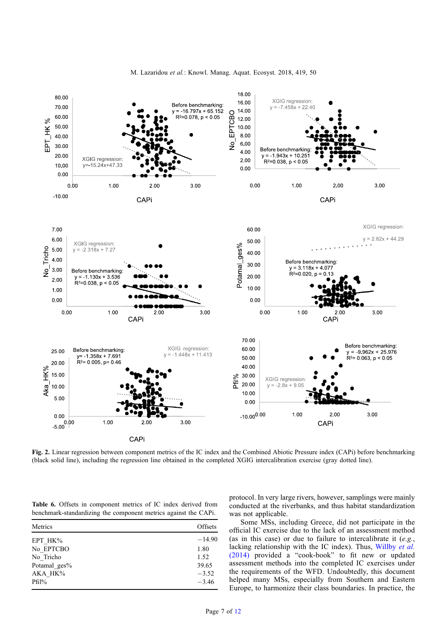

<span id="page-6-0"></span>

Fig. 2. Linear regression between component metrics of the IC index and the Combined Abiotic Pressure index (CAPi) before benchmarking (black solid line), including the regression line obtained in the completed XGIG intercalibration exercise (gray dotted line).

Table 6. Offsets in component metrics of IC index derived from benchmark-standardizing the component metrics against the CAPi.

| Metrics      | Offsets  |
|--------------|----------|
| EPT HK%      | $-14.90$ |
| No EPTCBO    | 1.80     |
| No Tricho    | 1.52     |
| Potamal ges% | 39.65    |
| AKA HK%      | $-3.52$  |
| $Pfil\%$     | $-3.46$  |
|              |          |

protocol. In very large rivers, however, samplings were mainly conducted at the riverbanks, and thus habitat standardization was not applicable.

Some MSs, including Greece, did not participate in the official IC exercise due to the lack of an assessment method (as in this case) or due to failure to intercalibrate it  $(e.g.,)$ lacking relationship with the IC index). Thus, [Willby](#page-11-0) et al. [\(2014\)](#page-11-0) provided a "cook-book" to fit new or updated assessment methods into the completed IC exercises under the requirements of the WFD. Undoubtedly, this document helped many MSs, especially from Southern and Eastern Europe, to harmonize their class boundaries. In practice, the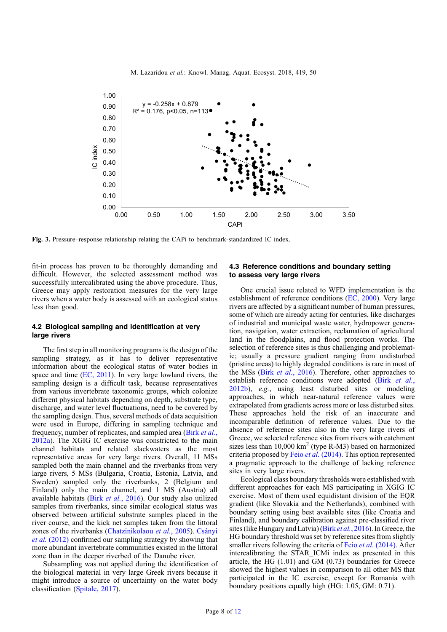<span id="page-7-0"></span>

Fig. 3. Pressure–response relationship relating the CAPi to benchmark-standardized IC index.

fit-in process has proven to be thoroughly demanding and difficult. However, the selected assessment method was successfully intercalibrated using the above procedure. Thus, Greece may apply restoration measures for the very large rivers when a water body is assessed with an ecological status less than good.

## 4.2 Biological sampling and identification at very large rivers

The first step in all monitoring programs is the design of the sampling strategy, as it has to deliver representative information about the ecological status of water bodies in space and time [\(EC, 2011](#page-11-0)). In very large lowland rivers, the sampling design is a difficult task, because representatives from various invertebrate taxonomic groups, which colonize different physical habitats depending on depth, substrate type, discharge, and water level fluctuations, need to be covered by the sampling design. Thus, several methods of data acquisition were used in Europe, differing in sampling technique and frequency, number of replicates, and sampled area (Birk [et al.](#page-10-0), [2012a\)](#page-10-0). The XGIG IC exercise was constricted to the main channel habitats and related slackwaters as the most representative areas for very large rivers. Overall, 11 MSs sampled both the main channel and the riverbanks from very large rivers, 5 MSs (Bulgaria, Croatia, Estonia, Latvia, and Sweden) sampled only the riverbanks, 2 (Belgium and Finland) only the main channel, and 1 MS (Austria) all available habitats (Birk et al.[, 2016](#page-10-0)). Our study also utilized samples from riverbanks, since similar ecological status was observed between artificial substrate samples placed in the river course, and the kick net samples taken from the littoral zones of the riverbanks [\(Chatzinikolaou](#page-10-0) et al., 2005). [Csányi](#page-11-0) et al. [\(2012\)](#page-11-0) confirmed our sampling strategy by showing that more abundant invertebrate communities existed in the littoral zone than in the deeper riverbed of the Danube river.

Subsampling was not applied during the identification of the biological material in very large Greek rivers because it might introduce a source of uncertainty on the water body classification [\(Spitale, 2017\)](#page-11-0).

# 4.3 Reference conditions and boundary setting to assess very large rivers

One crucial issue related to WFD implementation is the establishment of reference conditions [\(EC, 2000\)](#page-11-0). Very large rivers are affected by a significant number of human pressures, some of which are already acting for centuries, like discharges of industrial and municipal waste water, hydropower generation, navigation, water extraction, reclamation of agricultural land in the floodplains, and flood protection works. The selection of reference sites is thus challenging and problematic; usually a pressure gradient ranging from undisturbed (pristine areas) to highly degraded conditions is rare in most of the MSs (Birk et al.[, 2016](#page-10-0)). Therefore, other approaches to establish reference conditions were adopted (Birk [et al.](#page-10-0), [2012b](#page-10-0)), e.g., using least disturbed sites or modeling approaches, in which near-natural reference values were extrapolated from gradients across more or less disturbed sites. These approaches hold the risk of an inaccurate and incomparable definition of reference values. Due to the absence of reference sites also in the very large rivers of Greece, we selected reference sites from rivers with catchment sizes less than  $10,000 \text{ km}^2$  (type R-M3) based on harmonized criteria proposed by Feio et al. [\(2014\).](#page-11-0) This option represented a pragmatic approach to the challenge of lacking reference sites in very large rivers.

Ecological class boundary thresholds were established with different approaches for each MS participating in XGIG IC exercise. Most of them used equidistant division of the EQR gradient (like Slovakia and the Netherlands), combined with boundary setting using best available sites (like Croatia and Finland), and boundary calibration against pre-classified river sites (like Hungary and Latvia) (Birk et al.[, 2016\)](#page-10-0). In Greece, the HG boundary threshold was set by reference sites from slightly smaller rivers following the criteria of Feio et al. [\(2014\).](#page-11-0) After intercalibrating the STAR\_ICMi index as presented in this article, the HG (1.01) and GM (0.73) boundaries for Greece showed the highest values in comparison to all other MS that participated in the IC exercise, except for Romania with boundary positions equally high (HG: 1.05, GM: 0.71).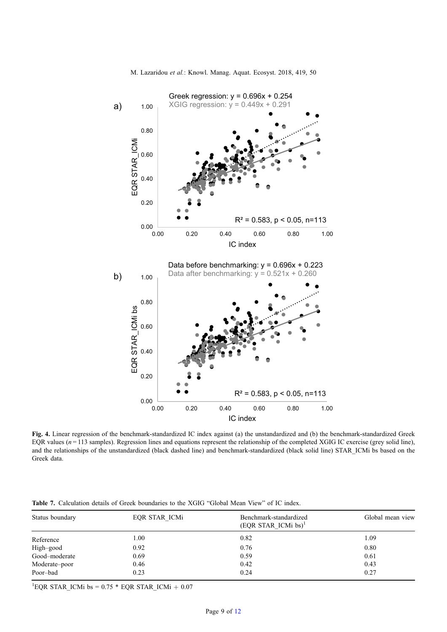<span id="page-8-0"></span>

Fig. 4. Linear regression of the benchmark-standardized IC index against (a) the unstandardized and (b) the benchmark-standardized Greek EQR values  $(n = 113$  samples). Regression lines and equations represent the relationship of the completed XGIG IC exercise (grey solid line), and the relationships of the unstandardized (black dashed line) and benchmark-standardized (black solid line) STAR\_ICMi bs based on the Greek data.

| Status boundary | EQR STAR ICMi | Benchmark-standardized<br>Global mean view<br>(EQR STAR ICMi bs) <sup>1</sup> |      |
|-----------------|---------------|-------------------------------------------------------------------------------|------|
| Reference       | 1.00          | 0.82                                                                          | 1.09 |
| High-good       | 0.92          | 0.76                                                                          | 0.80 |
| Good-moderate   | 0.69          | 0.59                                                                          | 0.61 |
| Moderate-poor   | 0.46          | 0.42                                                                          | 0.43 |
| Poor-bad        | 0.23          | 0.24                                                                          | 0.27 |
|                 |               |                                                                               |      |

Table 7. Calculation details of Greek boundaries to the XGIG "Global Mean View" of IC index.

<sup>1</sup>EQR STAR\_ICMi bs =  $0.75 * EQR$  STAR\_ICMi +  $0.07$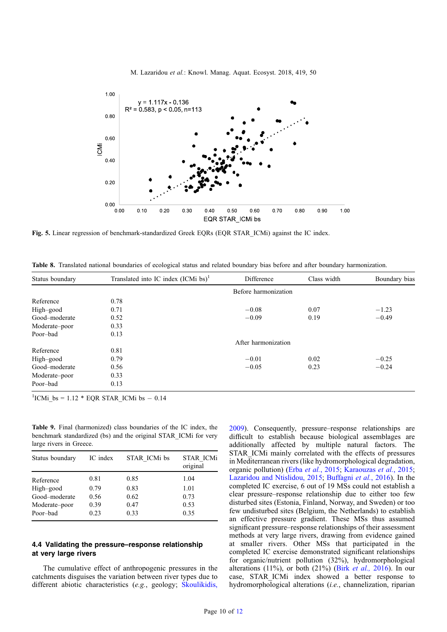<span id="page-9-0"></span>

Fig. 5. Linear regression of benchmark-standardized Greek EQRs (EQR STAR ICMi) against the IC index.

Table 8. Translated national boundaries of ecological status and related boundary bias before and after boundary harmonization.

| Status boundary | Translated into IC index $(ICMi)$ bs) <sup>1</sup> | Difference           | Class width | Boundary bias |
|-----------------|----------------------------------------------------|----------------------|-------------|---------------|
|                 |                                                    | Before harmonization |             |               |
| Reference       | 0.78                                               |                      |             |               |
| High-good       | 0.71                                               | $-0.08$              | 0.07        | $-1.23$       |
| Good-moderate   | 0.52                                               | $-0.09$              | 0.19        | $-0.49$       |
| Moderate-poor   | 0.33                                               |                      |             |               |
| Poor-bad        | 0.13                                               |                      |             |               |
|                 |                                                    | After harmonization  |             |               |
| Reference       | 0.81                                               |                      |             |               |
| High-good       | 0.79                                               | $-0.01$              | 0.02        | $-0.25$       |
| Good-moderate   | 0.56                                               | $-0.05$              | 0.23        | $-0.24$       |
| Moderate-poor   | 0.33                                               |                      |             |               |
| Poor-bad        | 0.13                                               |                      |             |               |

 ${}^{1}$ ICMi\_bs = 1.12 \* EQR STAR\_ICMi bs - 0.14

Table 9. Final (harmonized) class boundaries of the IC index, the benchmark standardized (bs) and the original STAR\_ICMi for very large rivers in Greece.

| Status boundary | IC index | STAR ICMi bs | <b>STAR ICMi</b><br>original |
|-----------------|----------|--------------|------------------------------|
| Reference       | 0.81     | 0.85         | 1.04                         |
| High-good       | 0.79     | 0.83         | 1.01                         |
| Good-moderate   | 0.56     | 0.62         | 0.73                         |
| Moderate-poor   | 0.39     | 0.47         | 0.53                         |
| Poor-bad        | 0.23     | 0.33         | 0.35                         |

# 4.4 Validating the pressure–response relationship at very large rivers

The cumulative effect of anthropogenic pressures in the catchments disguises the variation between river types due to different abiotic characteristics (e.g., geology; [Skoulikidis,](#page-11-0)

[2009](#page-11-0)). Consequently, pressure–response relationships are difficult to establish because biological assemblages are additionally affected by multiple natural factors. The STAR\_ICMi mainly correlated with the effects of pressures in Mediterranean rivers (like hydromorphological degradation, organic pollution) (Erba et al.[, 2015;](#page-11-0) [Karaouzas](#page-11-0) et al., 2015; [Lazaridou and Ntislidou, 2015](#page-11-0); [Buffagni](#page-10-0) et al., 2016). In the completed IC exercise, 6 out of 19 MSs could not establish a clear pressure–response relationship due to either too few disturbed sites (Estonia, Finland, Norway, and Sweden) or too few undisturbed sites (Belgium, the Netherlands) to establish an effective pressure gradient. These MSs thus assumed significant pressure–response relationships of their assessment methods at very large rivers, drawing from evidence gained at smaller rivers. Other MSs that participated in the completed IC exercise demonstrated significant relationships for organic/nutrient pollution (32%), hydromorphological alterations  $(11\%)$ , or both  $(21\%)$  (Birk *et al.*, 2016). In our case, STAR\_ICMi index showed a better response to hydromorphological alterations (i.e., channelization, riparian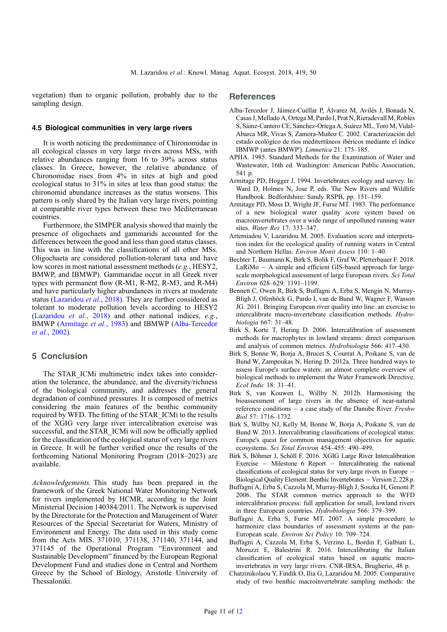<span id="page-10-0"></span>vegetation) than to organic pollution, probably due to the sampling design.

#### 4.5 Biological communities in very large rivers

It is worth noticing the predominance of Chironomidae in all ecological classes in very large rivers across MSs, with relative abundances ranging from 16 to 39% across status classes. In Greece, however, the relative abundance of Chironomidae rises from 4% in sites at high and good ecological status to 31% in sites at less than good status: the chironomid abundance increases as the status worsens. This pattern is only shared by the Italian very large rivers, pointing at comparable river types between these two Mediterranean countries.

Furthermore, the SIMPER analysis showed that mainly the presence of oligochaets and gammarids accounted for the differences between the good and less than good status classes. This was in line with the classifications of all other MSs. Oligochaeta are considered pollution-tolerant taxa and have low scores in most national assessment methods (e.g., HESY2, BMWP, and IBMWP). Gammaridae occur in all Greek river types with permanent flow (R-M1, R-M2, R-M3, and R-M4) and have particularly higher abundances in rivers at moderate status [\(Lazaridou](#page-11-0) et al., 2018). They are further considered as tolerant to moderate pollution levels according to HESY2 ([Lazaridou](#page-11-0) et al., 2018) and other national indices, e.g., BMWP (Armitage et al., 1983) and IBMWP (Alba-Tercedor et al., 2002).

## 5 Conclusion

The STAR\_ICMi multimetric index takes into consideration the tolerance, the abundance, and the diversity/richness of the biological community, and addresses the general degradation of combined pressures. It is composed of metrics considering the main features of the benthic community required by WFD. The fitting of the STAR\_ICMi to the results of the XGIG very large river intercalibration exercise was successful, and the STAR\_ICMi will now be officially applied for the classification of the ecological status of very large rivers in Greece. It will be further verified once the results of the forthcoming National Monitoring Program (2018–2023) are available.

Acknowledgements. This study has been prepared in the framework of the Greek National Water Monitoring Network for rivers implemented by HCMR, according to the Joint Ministerial Decision 140384/2011. The Network is supervised by the Directorate for the Protection and Management of Water Resources of the Special Secretariat for Waters, Ministry of Environment and Energy. The data used in this study come from the Acts MIS. 371010, 371138, 371140, 371144, and 371145 of the Operational Program "Environment and Sustainable Development" financed by the European Regional Development Fund and studies done in Central and Northern Greece by the School of Biology, Aristotle University of Thessaloniki.

# **References**

- Alba-Tercedor J, Jáimez-Cuéllar P, Álvarez M, Avilés J, Bonada N, Casas J, Mellado A, Ortega M, Pardo I, Prat N, Rieradevall M, Robles S, Sáinz-Cantero CE, Sánchez-Ortega A, Suárez ML, Toro M, Vidal-Abarca MR, Vivas S, Zamora-Muñoz C. 2002. Caracterización del estado ecológico de ríos mediterrâneos ibéricos mediante el índice IBMWP (antes BMWP'). Limnetica 21: 175–185.
- APHA. 1985. Standard Methods for the Examination of Water and Wastewater, 16th ed. Washington: American Public Association, 541 p.
- Armitage PD, Hogger J. 1994. Invertebrates ecology and survey. In: Ward D, Holmes N, Jose P, eds. The New Rivers and Wildlife Handbook. Bedfordshire: Sandy RSPB, pp. 151–159.
- Armitage PD, Moss D, Wright JF, Furse MT. 1983. The performance of a new biological water quality score system based on macroinvertebrates over a wide range of unpolluted running water sites. Water Res 17: 333–347.
- Artemiadou V, Lazaridou M. 2005. Evaluation score and interpretation index for the ecological quality of running waters in Central and Northern Hellas. Environ Monit Assess 110: 1–40.
- Bechter T, Baumann K, Birk S, Bolik F, Graf W, Pletterbauer F. 2018.  $LaRiMo - A$  simple and efficient GIS-based approach for largescale morphological assessment of large European rivers. Sci Total Environ 628–629: 1191–1199.
- Bennett C, Owen R, Birk S, Buffagni A, Erba S, Mengin N, Murray-Bligh J, Ofenböck G, Pardo I, van de Bund W, Wagner F, Wasson JG. 2011. Bringing European river quality into line: an exercise to intercalibrate macro-invertebrate classification methods. Hydrobiologia 667: 31–48.
- Birk S, Korte T, Hering D. 2006. Intercalibration of assessment methods for macrophytes in lowland streams: direct comparison and analysis of common metrics. Hydrobiologia 566: 417–430.
- Birk S, Bonne W, Borja A, Brucet S, Courrat A, Poikane S, van de Bund W, Zampoukas N, Hering D. 2012a. Three hundred ways to assess Europe's surface waters: an almost complete overview of biological methods to implement the Water Framework Directive. Ecol Indic 18: 31–41.
- Birk S, van Kouwen L, Willby N. 2012b. Harmonising the bioassessment of large rivers in the absence of near-natural reference conditions  $-$  a case study of the Danube River. *Freshw* Biol 57: 1716–1732.
- Birk S, Willby NJ, Kelly M, Bonne W, Borja A, Poikane S, van de Bund W. 2013. Intercalibrating classifications of ecological status: Europe's quest for common management objectives for aquatic ecosystems. Sci Total Environ 454–455: 490–499.
- Birk S, Böhmer J, Schöll F. 2016. XGIG Large River Intercalibration Exercise  $-$  Milestone 6 Report  $-$  Intercalibrating the national classifications of ecological status for very large rivers in Europe Biological Quality Element: Benthic Invertebrates - Version 2, 228 p.
- Buffagni A, Erba S, Cazzola M, Murray-Bligh J, Soszka H, Genoni P. 2006. The STAR common metrics approach to the WFD intercalibration process: full application for small, lowland rivers in three European countries. Hydrobiologia 566: 379–399.
- Buffagni A, Erba S, Furse MT. 2007. A simple procedure to harmonize class boundaries of assessment systems at the pan-European scale. Environ Sci Policy 10: 709–724.
- Buffagni A, Cazzola M, Erba S, Verzino L, Bordin F, Galbiati L, Moruzzi E, Balestrini R. 2016. Intercalibrating the Italian classification of ecological status based on aquatic macroinvertebrates in very large rivers. CNR-IRSA, Brugherio, 48 p.
- Chatzinikolaou Y, Findik O, Ilia G, Lazaridou M. 2005. Comparative study of two benthic macroinvertebrate sampling methods: the